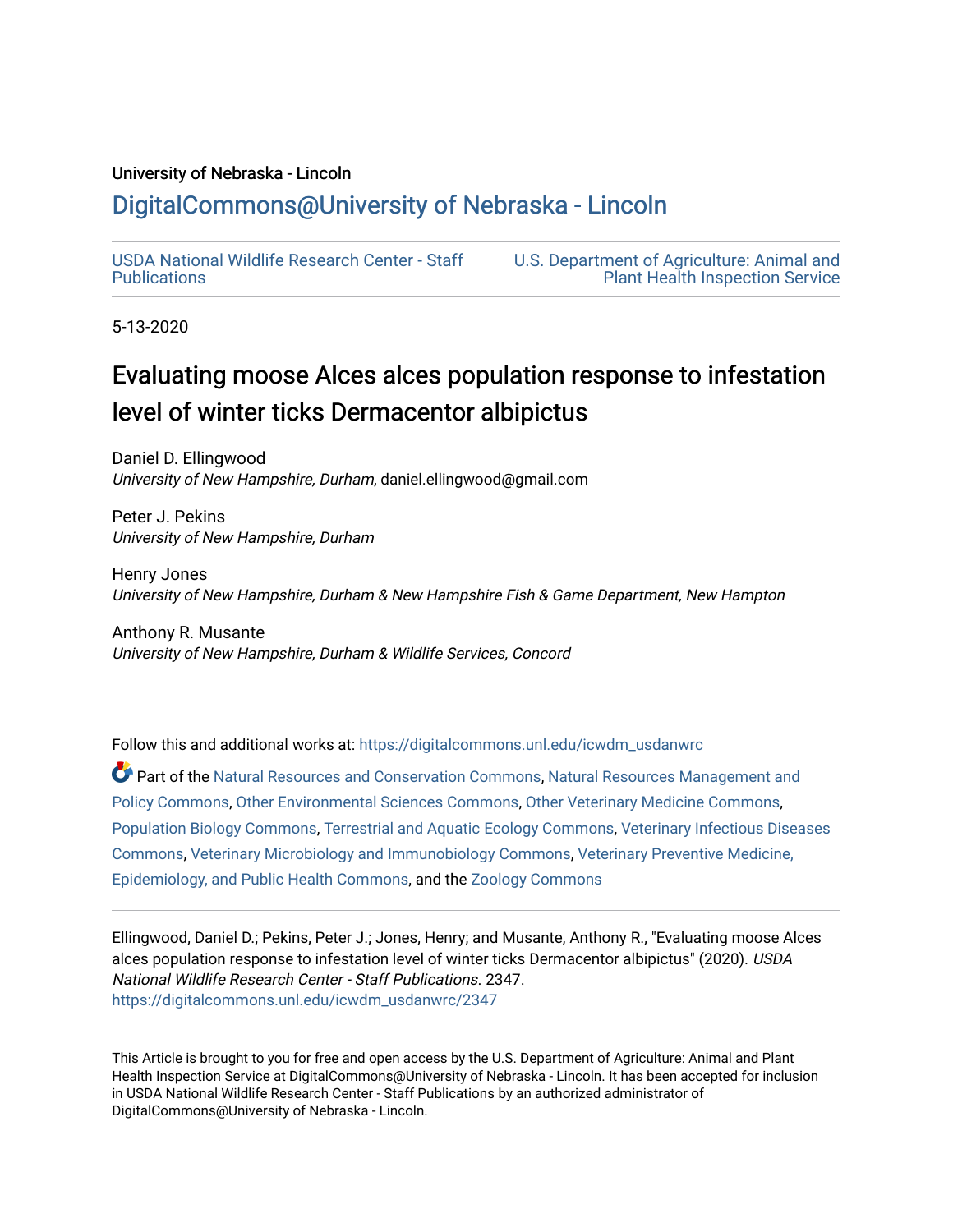## University of Nebraska - Lincoln

# [DigitalCommons@University of Nebraska - Lincoln](https://digitalcommons.unl.edu/)

[USDA National Wildlife Research Center - Staff](https://digitalcommons.unl.edu/icwdm_usdanwrc)  [Publications](https://digitalcommons.unl.edu/icwdm_usdanwrc) 

[U.S. Department of Agriculture: Animal and](https://digitalcommons.unl.edu/usdaaphis)  [Plant Health Inspection Service](https://digitalcommons.unl.edu/usdaaphis) 

5-13-2020

# Evaluating moose Alces alces population response to infestation level of winter ticks Dermacentor albipictus

Daniel D. Ellingwood University of New Hampshire, Durham, daniel.ellingwood@gmail.com

Peter J. Pekins University of New Hampshire, Durham

Henry Jones University of New Hampshire, Durham & New Hampshire Fish & Game Department, New Hampton

Anthony R. Musante University of New Hampshire, Durham & Wildlife Services, Concord

Follow this and additional works at: [https://digitalcommons.unl.edu/icwdm\\_usdanwrc](https://digitalcommons.unl.edu/icwdm_usdanwrc?utm_source=digitalcommons.unl.edu%2Ficwdm_usdanwrc%2F2347&utm_medium=PDF&utm_campaign=PDFCoverPages)

Part of the [Natural Resources and Conservation Commons,](http://network.bepress.com/hgg/discipline/168?utm_source=digitalcommons.unl.edu%2Ficwdm_usdanwrc%2F2347&utm_medium=PDF&utm_campaign=PDFCoverPages) [Natural Resources Management and](http://network.bepress.com/hgg/discipline/170?utm_source=digitalcommons.unl.edu%2Ficwdm_usdanwrc%2F2347&utm_medium=PDF&utm_campaign=PDFCoverPages) [Policy Commons](http://network.bepress.com/hgg/discipline/170?utm_source=digitalcommons.unl.edu%2Ficwdm_usdanwrc%2F2347&utm_medium=PDF&utm_campaign=PDFCoverPages), [Other Environmental Sciences Commons](http://network.bepress.com/hgg/discipline/173?utm_source=digitalcommons.unl.edu%2Ficwdm_usdanwrc%2F2347&utm_medium=PDF&utm_campaign=PDFCoverPages), [Other Veterinary Medicine Commons](http://network.bepress.com/hgg/discipline/771?utm_source=digitalcommons.unl.edu%2Ficwdm_usdanwrc%2F2347&utm_medium=PDF&utm_campaign=PDFCoverPages), [Population Biology Commons,](http://network.bepress.com/hgg/discipline/19?utm_source=digitalcommons.unl.edu%2Ficwdm_usdanwrc%2F2347&utm_medium=PDF&utm_campaign=PDFCoverPages) [Terrestrial and Aquatic Ecology Commons,](http://network.bepress.com/hgg/discipline/20?utm_source=digitalcommons.unl.edu%2Ficwdm_usdanwrc%2F2347&utm_medium=PDF&utm_campaign=PDFCoverPages) [Veterinary Infectious Diseases](http://network.bepress.com/hgg/discipline/770?utm_source=digitalcommons.unl.edu%2Ficwdm_usdanwrc%2F2347&utm_medium=PDF&utm_campaign=PDFCoverPages)  [Commons](http://network.bepress.com/hgg/discipline/770?utm_source=digitalcommons.unl.edu%2Ficwdm_usdanwrc%2F2347&utm_medium=PDF&utm_campaign=PDFCoverPages), [Veterinary Microbiology and Immunobiology Commons,](http://network.bepress.com/hgg/discipline/763?utm_source=digitalcommons.unl.edu%2Ficwdm_usdanwrc%2F2347&utm_medium=PDF&utm_campaign=PDFCoverPages) [Veterinary Preventive Medicine,](http://network.bepress.com/hgg/discipline/769?utm_source=digitalcommons.unl.edu%2Ficwdm_usdanwrc%2F2347&utm_medium=PDF&utm_campaign=PDFCoverPages)  [Epidemiology, and Public Health Commons,](http://network.bepress.com/hgg/discipline/769?utm_source=digitalcommons.unl.edu%2Ficwdm_usdanwrc%2F2347&utm_medium=PDF&utm_campaign=PDFCoverPages) and the [Zoology Commons](http://network.bepress.com/hgg/discipline/81?utm_source=digitalcommons.unl.edu%2Ficwdm_usdanwrc%2F2347&utm_medium=PDF&utm_campaign=PDFCoverPages)

Ellingwood, Daniel D.; Pekins, Peter J.; Jones, Henry; and Musante, Anthony R., "Evaluating moose Alces alces population response to infestation level of winter ticks Dermacentor albipictus" (2020). USDA National Wildlife Research Center - Staff Publications. 2347. [https://digitalcommons.unl.edu/icwdm\\_usdanwrc/2347](https://digitalcommons.unl.edu/icwdm_usdanwrc/2347?utm_source=digitalcommons.unl.edu%2Ficwdm_usdanwrc%2F2347&utm_medium=PDF&utm_campaign=PDFCoverPages) 

This Article is brought to you for free and open access by the U.S. Department of Agriculture: Animal and Plant Health Inspection Service at DigitalCommons@University of Nebraska - Lincoln. It has been accepted for inclusion in USDA National Wildlife Research Center - Staff Publications by an authorized administrator of DigitalCommons@University of Nebraska - Lincoln.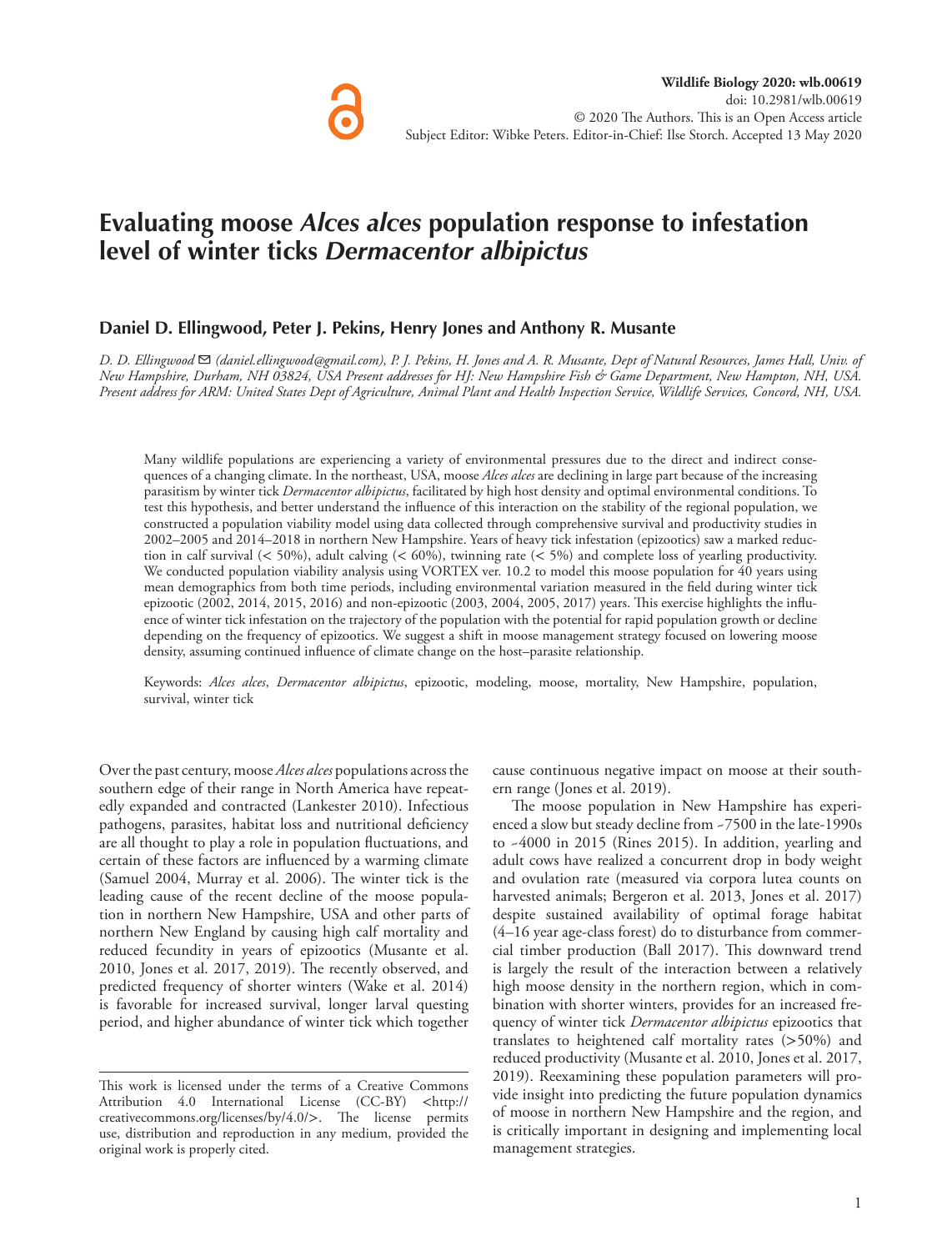# **Evaluating moose** *Alces alces* **population response to infestation level of winter ticks** *Dermacentor albipictus*

#### **Daniel D. Ellingwood, Peter J. Pekins, Henry Jones and Anthony R. Musante**

*D. D. Ellingwood* ✉ *(daniel.ellingwood@gmail.com), P. J. Pekins, H. Jones and A. R. Musante, Dept of Natural Resources, James Hall, Univ. of New Hampshire, Durham, NH 03824, USA Present addresses for HJ: New Hampshire Fish & Game Department, New Hampton, NH, USA. Present address for ARM: United States Dept of Agriculture, Animal Plant and Health Inspection Service, Wildlife Services, Concord, NH, USA.*

Many wildlife populations are experiencing a variety of environmental pressures due to the direct and indirect consequences of a changing climate. In the northeast, USA, moose *Alces alces* are declining in large part because of the increasing parasitism by winter tick *Dermacentor albipictus*, facilitated by high host density and optimal environmental conditions. To test this hypothesis, and better understand the influence of this interaction on the stability of the regional population, we constructed a population viability model using data collected through comprehensive survival and productivity studies in 2002–2005 and 2014–2018 in northern New Hampshire. Years of heavy tick infestation (epizootics) saw a marked reduction in calf survival (< 50%), adult calving (< 60%), twinning rate (< 5%) and complete loss of yearling productivity. We conducted population viability analysis using VORTEX ver. 10.2 to model this moose population for 40 years using mean demographics from both time periods, including environmental variation measured in the field during winter tick epizootic (2002, 2014, 2015, 2016) and non-epizootic (2003, 2004, 2005, 2017) years. This exercise highlights the influence of winter tick infestation on the trajectory of the population with the potential for rapid population growth or decline depending on the frequency of epizootics. We suggest a shift in moose management strategy focused on lowering moose density, assuming continued influence of climate change on the host–parasite relationship.

Keywords: *Alces alces*, *Dermacentor albipictus*, epizootic, modeling, moose, mortality, New Hampshire, population, survival, winter tick

Over the past century, moose *Alces alces* populations across the southern edge of their range in North America have repeatedly expanded and contracted (Lankester 2010). Infectious pathogens, parasites, habitat loss and nutritional deficiency are all thought to play a role in population fluctuations, and certain of these factors are influenced by a warming climate (Samuel 2004, Murray et al. 2006). The winter tick is the leading cause of the recent decline of the moose population in northern New Hampshire, USA and other parts of northern New England by causing high calf mortality and reduced fecundity in years of epizootics (Musante et al. 2010, Jones et al. 2017, 2019). The recently observed, and predicted frequency of shorter winters (Wake et al. 2014) is favorable for increased survival, longer larval questing period, and higher abundance of winter tick which together cause continuous negative impact on moose at their southern range (Jones et al. 2019).

The moose population in New Hampshire has experienced a slow but steady decline from ~7500 in the late-1990s to ~4000 in 2015 (Rines 2015). In addition, yearling and adult cows have realized a concurrent drop in body weight and ovulation rate (measured via corpora lutea counts on harvested animals; Bergeron et al. 2013, Jones et al. 2017) despite sustained availability of optimal forage habitat (4–16 year age-class forest) do to disturbance from commercial timber production (Ball 2017). This downward trend is largely the result of the interaction between a relatively high moose density in the northern region, which in combination with shorter winters, provides for an increased frequency of winter tick *Dermacentor albipictus* epizootics that translates to heightened calf mortality rates (>50%) and reduced productivity (Musante et al. 2010, Jones et al. 2017, 2019). Reexamining these population parameters will provide insight into predicting the future population dynamics of moose in northern New Hampshire and the region, and is critically important in designing and implementing local management strategies.

This work is licensed under the terms of a Creative Commons Attribution 4.0 International License (CC-BY) <http:// creativecommons.org/licenses/by/4.0/>. The license permits use, distribution and reproduction in any medium, provided the original work is properly cited.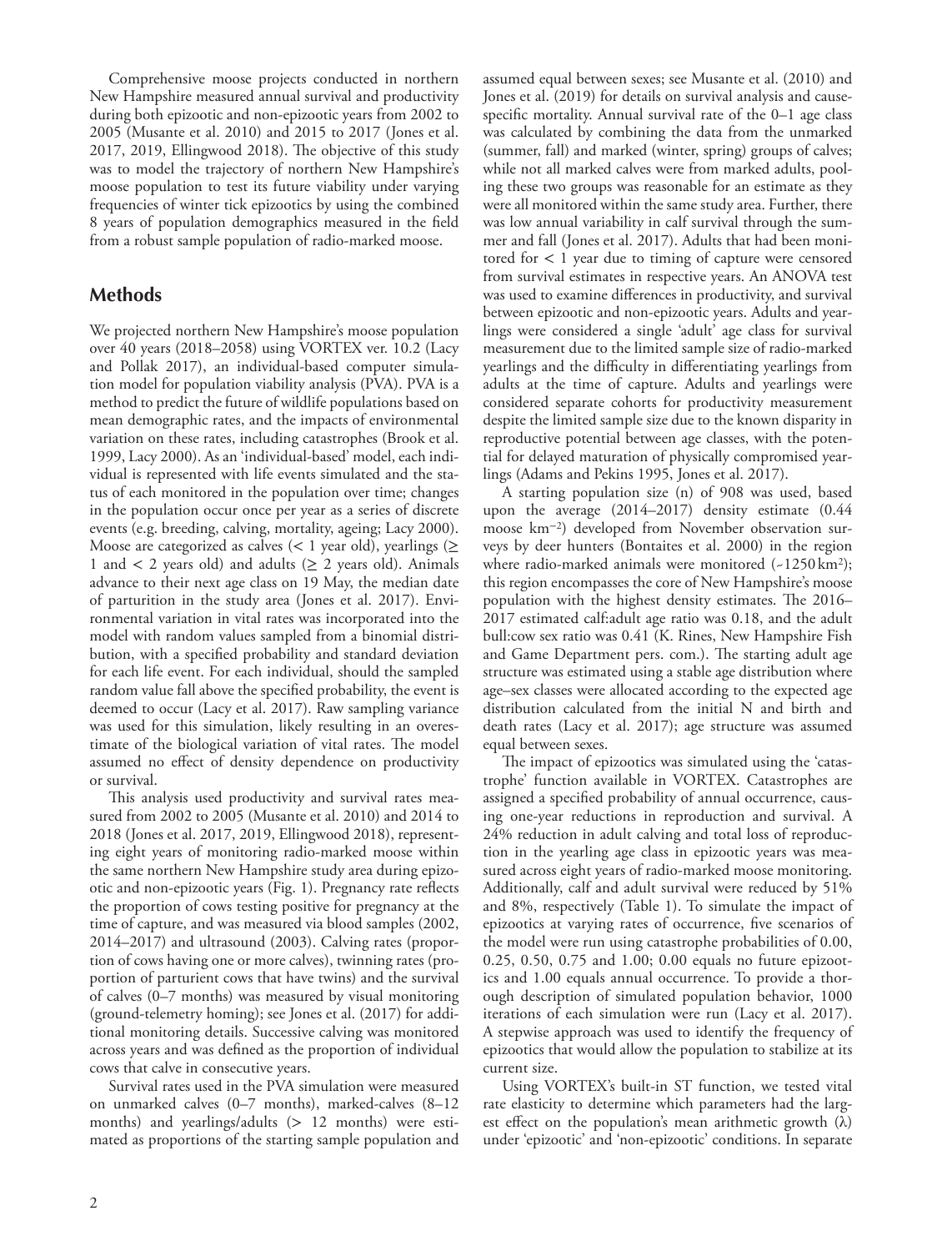Comprehensive moose projects conducted in northern New Hampshire measured annual survival and productivity during both epizootic and non-epizootic years from 2002 to 2005 (Musante et al. 2010) and 2015 to 2017 (Jones et al. 2017, 2019, Ellingwood 2018). The objective of this study was to model the trajectory of northern New Hampshire's moose population to test its future viability under varying frequencies of winter tick epizootics by using the combined 8 years of population demographics measured in the field from a robust sample population of radio-marked moose.

## **Methods**

We projected northern New Hampshire's moose population over 40 years (2018–2058) using VORTEX ver. 10.2 (Lacy and Pollak 2017), an individual-based computer simulation model for population viability analysis (PVA). PVA is a method to predict the future of wildlife populations based on mean demographic rates, and the impacts of environmental variation on these rates, including catastrophes (Brook et al. 1999, Lacy 2000). As an 'individual-based' model, each individual is represented with life events simulated and the status of each monitored in the population over time; changes in the population occur once per year as a series of discrete events (e.g. breeding, calving, mortality, ageing; Lacy 2000). Moose are categorized as calves (< 1 year old), yearlings ( $\geq$ 1 and  $\lt$  2 years old) and adults ( $\geq$  2 years old). Animals advance to their next age class on 19 May, the median date of parturition in the study area (Jones et al. 2017). Environmental variation in vital rates was incorporated into the model with random values sampled from a binomial distribution, with a specified probability and standard deviation for each life event. For each individual, should the sampled random value fall above the specified probability, the event is deemed to occur (Lacy et al. 2017). Raw sampling variance was used for this simulation, likely resulting in an overestimate of the biological variation of vital rates. The model assumed no effect of density dependence on productivity or survival.

This analysis used productivity and survival rates measured from 2002 to 2005 (Musante et al. 2010) and 2014 to 2018 (Jones et al. 2017, 2019, Ellingwood 2018), representing eight years of monitoring radio-marked moose within the same northern New Hampshire study area during epizootic and non-epizootic years (Fig. 1). Pregnancy rate reflects the proportion of cows testing positive for pregnancy at the time of capture, and was measured via blood samples (2002, 2014–2017) and ultrasound (2003). Calving rates (proportion of cows having one or more calves), twinning rates (proportion of parturient cows that have twins) and the survival of calves (0–7 months) was measured by visual monitoring (ground-telemetry homing); see Jones et al. (2017) for additional monitoring details. Successive calving was monitored across years and was defined as the proportion of individual cows that calve in consecutive years.

Survival rates used in the PVA simulation were measured on unmarked calves (0–7 months), marked-calves (8–12 months) and yearlings/adults (> 12 months) were estimated as proportions of the starting sample population and assumed equal between sexes; see Musante et al. (2010) and Jones et al. (2019) for details on survival analysis and causespecific mortality. Annual survival rate of the 0–1 age class was calculated by combining the data from the unmarked (summer, fall) and marked (winter, spring) groups of calves; while not all marked calves were from marked adults, pooling these two groups was reasonable for an estimate as they were all monitored within the same study area. Further, there was low annual variability in calf survival through the summer and fall (Jones et al. 2017). Adults that had been monitored for < 1 year due to timing of capture were censored from survival estimates in respective years. An ANOVA test was used to examine differences in productivity, and survival between epizootic and non-epizootic years. Adults and yearlings were considered a single 'adult' age class for survival measurement due to the limited sample size of radio-marked yearlings and the difficulty in differentiating yearlings from adults at the time of capture. Adults and yearlings were considered separate cohorts for productivity measurement despite the limited sample size due to the known disparity in reproductive potential between age classes, with the potential for delayed maturation of physically compromised yearlings (Adams and Pekins 1995, Jones et al. 2017).

A starting population size (n) of 908 was used, based upon the average (2014–2017) density estimate (0.44 moose km−2) developed from November observation surveys by deer hunters (Bontaites et al. 2000) in the region where radio-marked animals were monitored  $(-1250 \text{ km}^2)$ ; this region encompasses the core of New Hampshire's moose population with the highest density estimates. The 2016– 2017 estimated calf:adult age ratio was 0.18, and the adult bull:cow sex ratio was 0.41 (K. Rines, New Hampshire Fish and Game Department pers. com.). The starting adult age structure was estimated using a stable age distribution where age–sex classes were allocated according to the expected age distribution calculated from the initial N and birth and death rates (Lacy et al. 2017); age structure was assumed equal between sexes.

The impact of epizootics was simulated using the 'catastrophe' function available in VORTEX. Catastrophes are assigned a specified probability of annual occurrence, causing one-year reductions in reproduction and survival. A 24% reduction in adult calving and total loss of reproduction in the yearling age class in epizootic years was measured across eight years of radio-marked moose monitoring. Additionally, calf and adult survival were reduced by 51% and 8%, respectively (Table 1). To simulate the impact of epizootics at varying rates of occurrence, five scenarios of the model were run using catastrophe probabilities of 0.00, 0.25, 0.50, 0.75 and 1.00; 0.00 equals no future epizootics and 1.00 equals annual occurrence. To provide a thorough description of simulated population behavior, 1000 iterations of each simulation were run (Lacy et al. 2017). A stepwise approach was used to identify the frequency of epizootics that would allow the population to stabilize at its current size.

Using VORTEX's built-in ST function, we tested vital rate elasticity to determine which parameters had the largest effect on the population's mean arithmetic growth (λ) under 'epizootic' and 'non-epizootic' conditions. In separate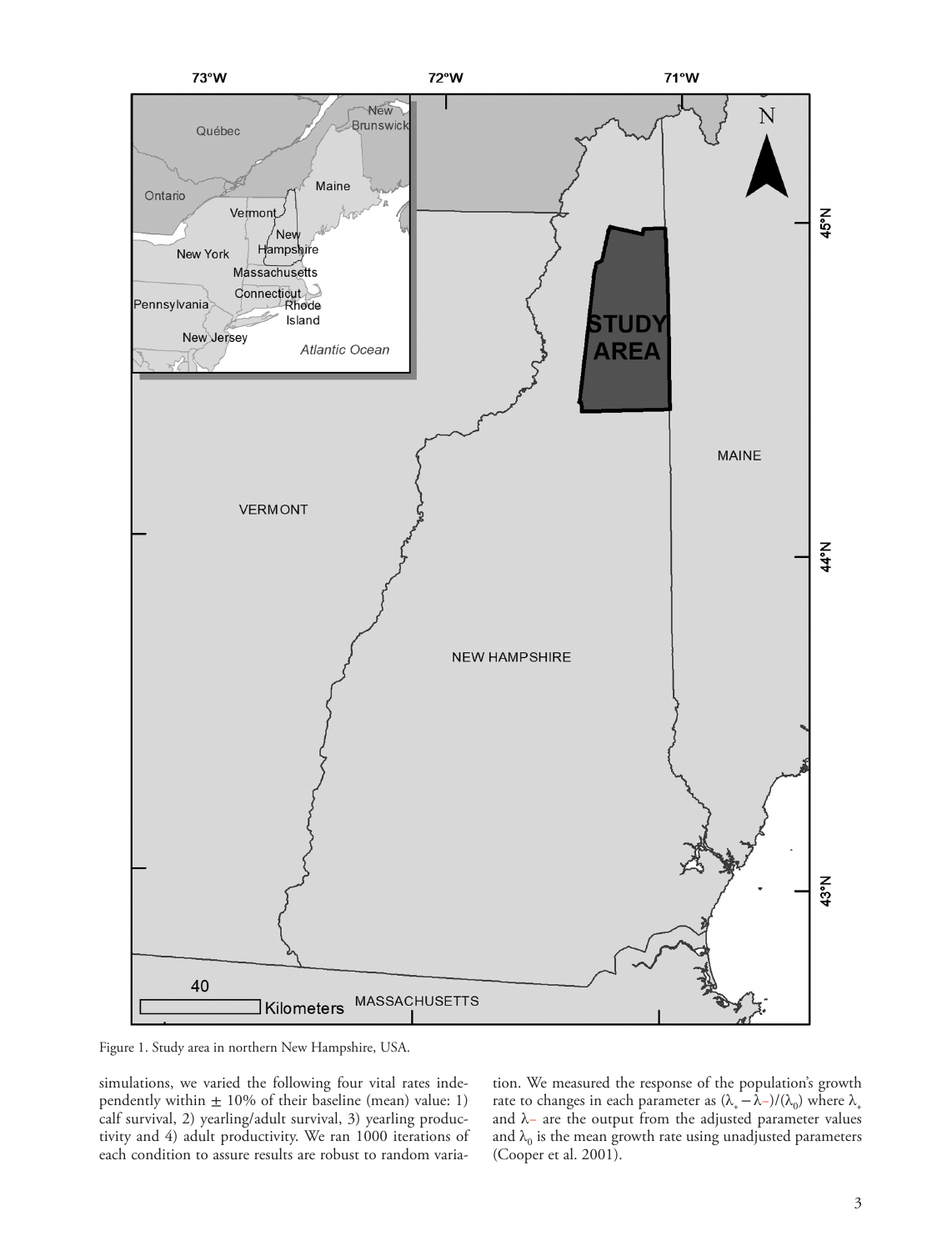

Figure 1. Study area in northern New Hampshire, USA.

simulations, we varied the following four vital rates independently within  $\pm$  10% of their baseline (mean) value: 1) calf survival, 2) yearling/adult survival, 3) yearling productivity and 4) adult productivity. We ran 1000 iterations of each condition to assure results are robust to random variation. We measured the response of the population's growth rate to changes in each parameter as  $(\lambda_{+} - \lambda_{-})/(\lambda_{0})$  where  $\lambda_{+}$ and λ− are the output from the adjusted parameter values and  $\lambda_0$  is the mean growth rate using unadjusted parameters (Cooper et al. 2001).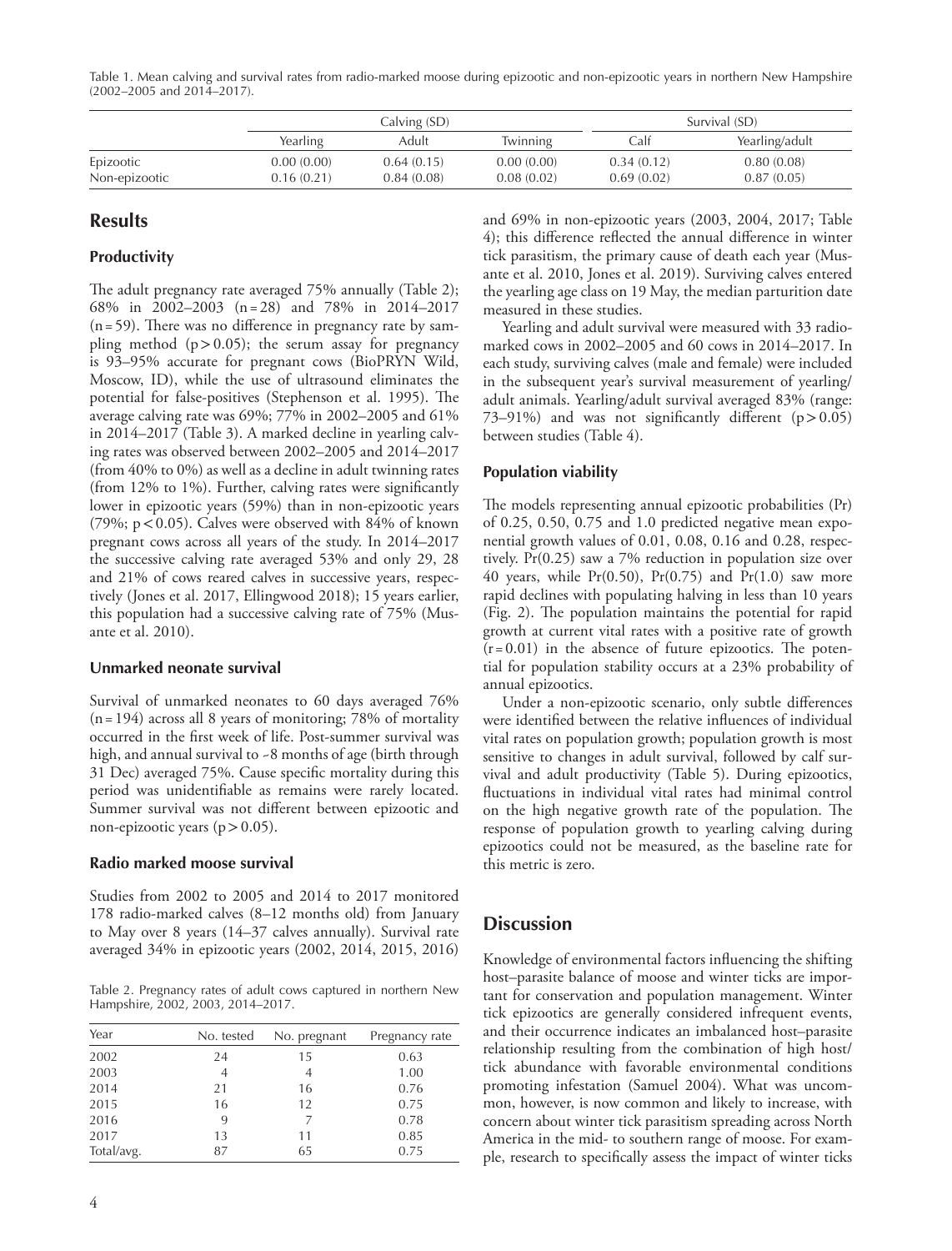Table 1. Mean calving and survival rates from radio-marked moose during epizootic and non-epizootic years in northern New Hampshire (2002–2005 and 2014–2017).

|               |            | Calving (SD) |            |            | Survival (SD)  |  |
|---------------|------------|--------------|------------|------------|----------------|--|
|               | Yearling   | Adult        | Twinning   | Calf       | Yearling/adult |  |
| Epizootic     | 0.00(0.00) | 0.64(0.15)   | 0.00(0.00) | 0.34(0.12) | 0.80(0.08)     |  |
| Non-epizootic | 0.16(0.21) | 0.84(0.08)   | 0.08(0.02) | 0.69(0.02) | 0.87(0.05)     |  |

# **Results**

#### **Productivity**

The adult pregnancy rate averaged 75% annually (Table 2); 68% in 2002–2003 (n=28) and 78% in 2014–2017  $(n = 59)$ . There was no difference in pregnancy rate by sampling method  $(p > 0.05)$ ; the serum assay for pregnancy is 93–95% accurate for pregnant cows (BioPRYN Wild, Moscow, ID), while the use of ultrasound eliminates the potential for false-positives (Stephenson et al. 1995). The average calving rate was 69%; 77% in 2002–2005 and 61% in 2014–2017 (Table 3). A marked decline in yearling calving rates was observed between 2002–2005 and 2014–2017 (from 40% to 0%) as well as a decline in adult twinning rates (from 12% to 1%). Further, calving rates were significantly lower in epizootic years (59%) than in non-epizootic years (79%;  $p < 0.05$ ). Calves were observed with 84% of known pregnant cows across all years of the study. In 2014–2017 the successive calving rate averaged 53% and only 29, 28 and 21% of cows reared calves in successive years, respectively (Jones et al. 2017, Ellingwood 2018); 15 years earlier, this population had a successive calving rate of 75% (Musante et al. 2010).

#### **Unmarked neonate survival**

Survival of unmarked neonates to 60 days averaged 76%  $(n = 194)$  across all 8 years of monitoring; 78% of mortality occurred in the first week of life. Post-summer survival was high, and annual survival to ~8 months of age (birth through 31 Dec) averaged 75%. Cause specific mortality during this period was unidentifiable as remains were rarely located. Summer survival was not different between epizootic and non-epizootic years ( $p > 0.05$ ).

#### **Radio marked moose survival**

Studies from 2002 to 2005 and 2014 to 2017 monitored 178 radio-marked calves (8–12 months old) from January to May over 8 years (14–37 calves annually). Survival rate averaged 34% in epizootic years (2002, 2014, 2015, 2016)

Table 2. Pregnancy rates of adult cows captured in northern New Hampshire, 2002, 2003, 2014–2017.

| Year       | No. tested | No. pregnant | Pregnancy rate |
|------------|------------|--------------|----------------|
| 2002       | 24         | 15           | 0.63           |
| 2003       | 4          | 4            | 1.00           |
| 2014       | 21         | 16           | 0.76           |
| 2015       | 16         | 12           | 0.75           |
| 2016       | 9          | 7            | 0.78           |
| 2017       | 13         | 11           | 0.85           |
| Total/avg. | 87         | 65           | 0.75           |
|            |            |              |                |

and 69% in non-epizootic years (2003, 2004, 2017; Table 4); this difference reflected the annual difference in winter tick parasitism, the primary cause of death each year (Musante et al. 2010, Jones et al. 2019). Surviving calves entered the yearling age class on 19 May, the median parturition date measured in these studies.

Yearling and adult survival were measured with 33 radiomarked cows in 2002–2005 and 60 cows in 2014–2017. In each study, surviving calves (male and female) were included in the subsequent year's survival measurement of yearling/ adult animals. Yearling/adult survival averaged 83% (range: 73–91%) and was not significantly different  $(p > 0.05)$ between studies (Table 4).

#### **Population viability**

The models representing annual epizootic probabilities (Pr) of 0.25, 0.50, 0.75 and 1.0 predicted negative mean exponential growth values of 0.01, 0.08, 0.16 and 0.28, respectively. Pr(0.25) saw a 7% reduction in population size over 40 years, while  $Pr(0.50)$ ,  $Pr(0.75)$  and  $Pr(1.0)$  saw more rapid declines with populating halving in less than 10 years (Fig. 2). The population maintains the potential for rapid growth at current vital rates with a positive rate of growth  $(r= 0.01)$  in the absence of future epizootics. The potential for population stability occurs at a 23% probability of annual epizootics.

Under a non-epizootic scenario, only subtle differences were identified between the relative influences of individual vital rates on population growth; population growth is most sensitive to changes in adult survival, followed by calf survival and adult productivity (Table 5). During epizootics, fluctuations in individual vital rates had minimal control on the high negative growth rate of the population. The response of population growth to yearling calving during epizootics could not be measured, as the baseline rate for this metric is zero.

# **Discussion**

Knowledge of environmental factors influencing the shifting host–parasite balance of moose and winter ticks are important for conservation and population management. Winter tick epizootics are generally considered infrequent events, and their occurrence indicates an imbalanced host–parasite relationship resulting from the combination of high host/ tick abundance with favorable environmental conditions promoting infestation (Samuel 2004). What was uncommon, however, is now common and likely to increase, with concern about winter tick parasitism spreading across North America in the mid- to southern range of moose. For example, research to specifically assess the impact of winter ticks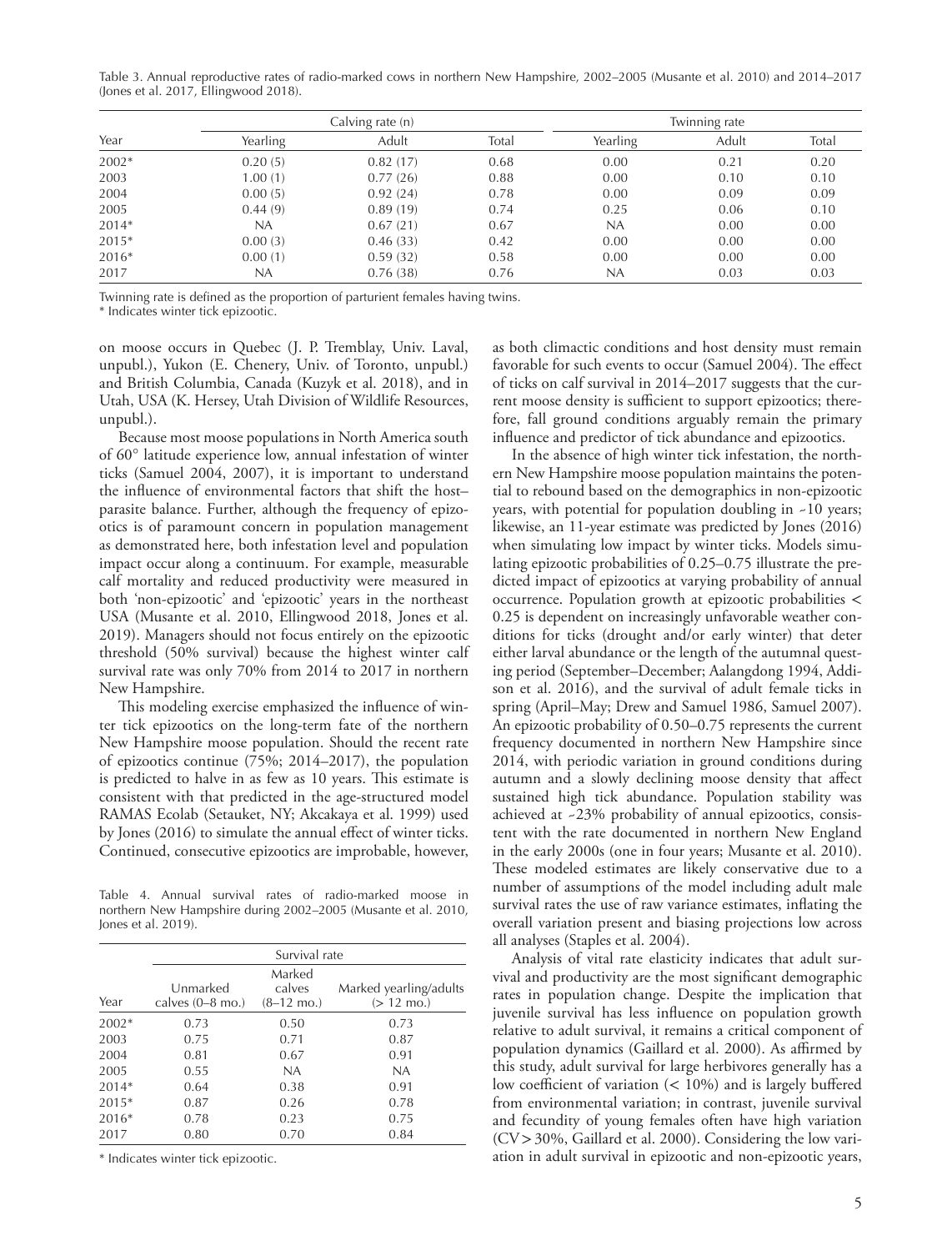Table 3. Annual reproductive rates of radio-marked cows in northern New Hampshire, 2002–2005 (Musante et al. 2010) and 2014–2017 (Jones et al. 2017, Ellingwood 2018).

|       | Calving rate (n) |          |       | Twinning rate |       |       |
|-------|------------------|----------|-------|---------------|-------|-------|
| Year  | Yearling         | Adult    | Total | Yearling      | Adult | Total |
| 2002* | 0.20(5)          | 0.82(17) | 0.68  | 0.00          | 0.21  | 0.20  |
| 2003  | 1.00(1)          | 0.77(26) | 0.88  | 0.00          | 0.10  | 0.10  |
| 2004  | 0.00(5)          | 0.92(24) | 0.78  | 0.00          | 0.09  | 0.09  |
| 2005  | 0.44(9)          | 0.89(19) | 0.74  | 0.25          | 0.06  | 0.10  |
| 2014* | NA               | 0.67(21) | 0.67  | NA            | 0.00  | 0.00  |
| 2015* | 0.00(3)          | 0.46(33) | 0.42  | 0.00          | 0.00  | 0.00  |
| 2016* | 0.00(1)          | 0.59(32) | 0.58  | 0.00          | 0.00  | 0.00  |
| 2017  | NA               | 0.76(38) | 0.76  | NA            | 0.03  | 0.03  |

Twinning rate is defined as the proportion of parturient females having twins.

\* Indicates winter tick epizootic.

on moose occurs in Quebec (J. P. Tremblay, Univ. Laval, unpubl.), Yukon (E. Chenery, Univ. of Toronto, unpubl.) and British Columbia, Canada (Kuzyk et al. 2018), and in Utah, USA (K. Hersey, Utah Division of Wildlife Resources, unpubl.).

Because most moose populations in North America south of 60° latitude experience low, annual infestation of winter ticks (Samuel 2004, 2007), it is important to understand the influence of environmental factors that shift the host– parasite balance. Further, although the frequency of epizootics is of paramount concern in population management as demonstrated here, both infestation level and population impact occur along a continuum. For example, measurable calf mortality and reduced productivity were measured in both 'non-epizootic' and 'epizootic' years in the northeast USA (Musante et al. 2010, Ellingwood 2018, Jones et al. 2019). Managers should not focus entirely on the epizootic threshold (50% survival) because the highest winter calf survival rate was only 70% from 2014 to 2017 in northern New Hampshire.

This modeling exercise emphasized the influence of winter tick epizootics on the long-term fate of the northern New Hampshire moose population. Should the recent rate of epizootics continue (75%; 2014–2017), the population is predicted to halve in as few as 10 years. This estimate is consistent with that predicted in the age-structured model RAMAS Ecolab (Setauket, NY; Akcakaya et al. 1999) used by Jones (2016) to simulate the annual effect of winter ticks. Continued, consecutive epizootics are improbable, however,

Table 4. Annual survival rates of radio-marked moose in northern New Hampshire during 2002–2005 (Musante et al. 2010, Jones et al. 2019).

|         | Survival rate      |                      |                        |
|---------|--------------------|----------------------|------------------------|
|         |                    | Marked               |                        |
|         | Unmarked           | calves               | Marked yearling/adults |
| Year    | calves $(0-8$ mo.) | $(8-12 \text{ mo.})$ | $(> 12 \text{ mo.})$   |
| 2002*   | 0.73               | 0.50                 | 0.73                   |
| 2003    | 0.75               | 0.71                 | 0.87                   |
| 2004    | 0.81               | 0.67                 | 0.91                   |
| 2005    | 0.55               | NA                   | <b>NA</b>              |
| 2014*   | 0.64               | 0.38                 | 0.91                   |
| $2015*$ | 0.87               | 0.26                 | 0.78                   |
| $2016*$ | 0.78               | 0.23                 | 0.75                   |
| 2017    | 0.80               | 0.70                 | 0.84                   |
|         |                    |                      |                        |

\* Indicates winter tick epizootic.

as both climactic conditions and host density must remain favorable for such events to occur (Samuel 2004). The effect of ticks on calf survival in 2014–2017 suggests that the current moose density is sufficient to support epizootics; therefore, fall ground conditions arguably remain the primary influence and predictor of tick abundance and epizootics.

In the absence of high winter tick infestation, the northern New Hampshire moose population maintains the potential to rebound based on the demographics in non-epizootic years, with potential for population doubling in ~10 years; likewise, an 11-year estimate was predicted by Jones (2016) when simulating low impact by winter ticks. Models simulating epizootic probabilities of 0.25–0.75 illustrate the predicted impact of epizootics at varying probability of annual occurrence. Population growth at epizootic probabilities < 0.25 is dependent on increasingly unfavorable weather conditions for ticks (drought and/or early winter) that deter either larval abundance or the length of the autumnal questing period (September–December; Aalangdong 1994, Addison et al. 2016), and the survival of adult female ticks in spring (April–May; Drew and Samuel 1986, Samuel 2007). An epizootic probability of 0.50–0.75 represents the current frequency documented in northern New Hampshire since 2014, with periodic variation in ground conditions during autumn and a slowly declining moose density that affect sustained high tick abundance. Population stability was achieved at ~23% probability of annual epizootics, consistent with the rate documented in northern New England in the early 2000s (one in four years; Musante et al. 2010). These modeled estimates are likely conservative due to a number of assumptions of the model including adult male survival rates the use of raw variance estimates, inflating the overall variation present and biasing projections low across all analyses (Staples et al. 2004).

Analysis of vital rate elasticity indicates that adult survival and productivity are the most significant demographic rates in population change. Despite the implication that juvenile survival has less influence on population growth relative to adult survival, it remains a critical component of population dynamics (Gaillard et al. 2000). As affirmed by this study, adult survival for large herbivores generally has a low coefficient of variation (< 10%) and is largely buffered from environmental variation; in contrast, juvenile survival and fecundity of young females often have high variation (CV>30%, Gaillard et al. 2000). Considering the low variation in adult survival in epizootic and non-epizootic years,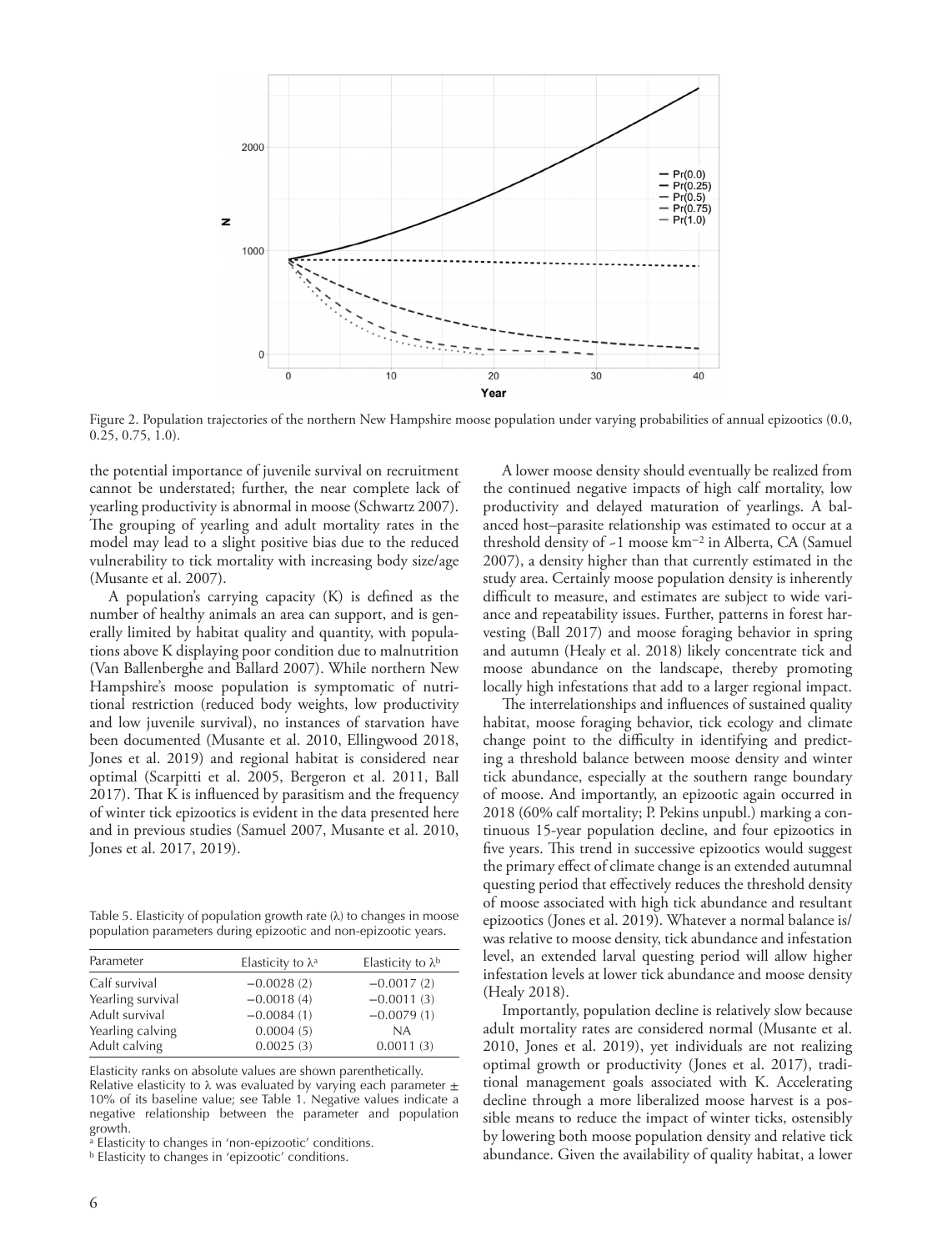

Figure 2. Population trajectories of the northern New Hampshire moose population under varying probabilities of annual epizootics (0.0,  $0.\overline{2}5, 0.75, \overline{1}.0$ .

the potential importance of juvenile survival on recruitment cannot be understated; further, the near complete lack of yearling productivity is abnormal in moose (Schwartz 2007). The grouping of yearling and adult mortality rates in the model may lead to a slight positive bias due to the reduced vulnerability to tick mortality with increasing body size/age (Musante et al. 2007).

A population's carrying capacity (K) is defined as the number of healthy animals an area can support, and is generally limited by habitat quality and quantity, with populations above K displaying poor condition due to malnutrition (Van Ballenberghe and Ballard 2007). While northern New Hampshire's moose population is symptomatic of nutritional restriction (reduced body weights, low productivity and low juvenile survival), no instances of starvation have been documented (Musante et al. 2010, Ellingwood 2018, Jones et al. 2019) and regional habitat is considered near optimal (Scarpitti et al. 2005, Bergeron et al. 2011, Ball 2017). That K is influenced by parasitism and the frequency of winter tick epizootics is evident in the data presented here and in previous studies (Samuel 2007, Musante et al. 2010, Jones et al. 2017, 2019).

Table 5. Elasticity of population growth rate  $(\lambda)$  to changes in moose population parameters during epizootic and non-epizootic years.

| Parameter         | Elasticity to $\lambda$ <sup>a</sup> | Elasticity to $\lambda$ <sup>b</sup> |
|-------------------|--------------------------------------|--------------------------------------|
| Calf survival     | $-0.0028(2)$                         | $-0.0017(2)$                         |
| Yearling survival | $-0.0018(4)$                         | $-0.0011(3)$                         |
| Adult survival    | $-0.0084(1)$                         | $-0.0079(1)$                         |
| Yearling calving  | 0.0004(5)                            | <b>NA</b>                            |
| Adult calving     | 0.0025(3)                            | 0.0011(3)                            |
|                   |                                      |                                      |

Elasticity ranks on absolute values are shown parenthetically. Relative elasticity to  $\lambda$  was evaluated by varying each parameter  $\pm$ 10% of its baseline value; see Table 1. Negative values indicate a negative relationship between the parameter and population growth.

 $a$  Elasticity to changes in 'non-epizootic' conditions.

b Elasticity to changes in 'epizootic' conditions.

A lower moose density should eventually be realized from the continued negative impacts of high calf mortality, low productivity and delayed maturation of yearlings. A balanced host–parasite relationship was estimated to occur at a threshold density of ~1 moose km−2 in Alberta, CA (Samuel 2007), a density higher than that currently estimated in the study area. Certainly moose population density is inherently difficult to measure, and estimates are subject to wide variance and repeatability issues. Further, patterns in forest harvesting (Ball 2017) and moose foraging behavior in spring and autumn (Healy et al. 2018) likely concentrate tick and moose abundance on the landscape, thereby promoting locally high infestations that add to a larger regional impact.

The interrelationships and influences of sustained quality habitat, moose foraging behavior, tick ecology and climate change point to the difficulty in identifying and predicting a threshold balance between moose density and winter tick abundance, especially at the southern range boundary of moose. And importantly, an epizootic again occurred in 2018 (60% calf mortality; P. Pekins unpubl.) marking a continuous 15-year population decline, and four epizootics in five years. This trend in successive epizootics would suggest the primary effect of climate change is an extended autumnal questing period that effectively reduces the threshold density of moose associated with high tick abundance and resultant epizootics (Jones et al. 2019). Whatever a normal balance is/ was relative to moose density, tick abundance and infestation level, an extended larval questing period will allow higher infestation levels at lower tick abundance and moose density (Healy 2018).

Importantly, population decline is relatively slow because adult mortality rates are considered normal (Musante et al. 2010, Jones et al. 2019), yet individuals are not realizing optimal growth or productivity (Jones et al. 2017), traditional management goals associated with K. Accelerating decline through a more liberalized moose harvest is a possible means to reduce the impact of winter ticks, ostensibly by lowering both moose population density and relative tick abundance. Given the availability of quality habitat, a lower